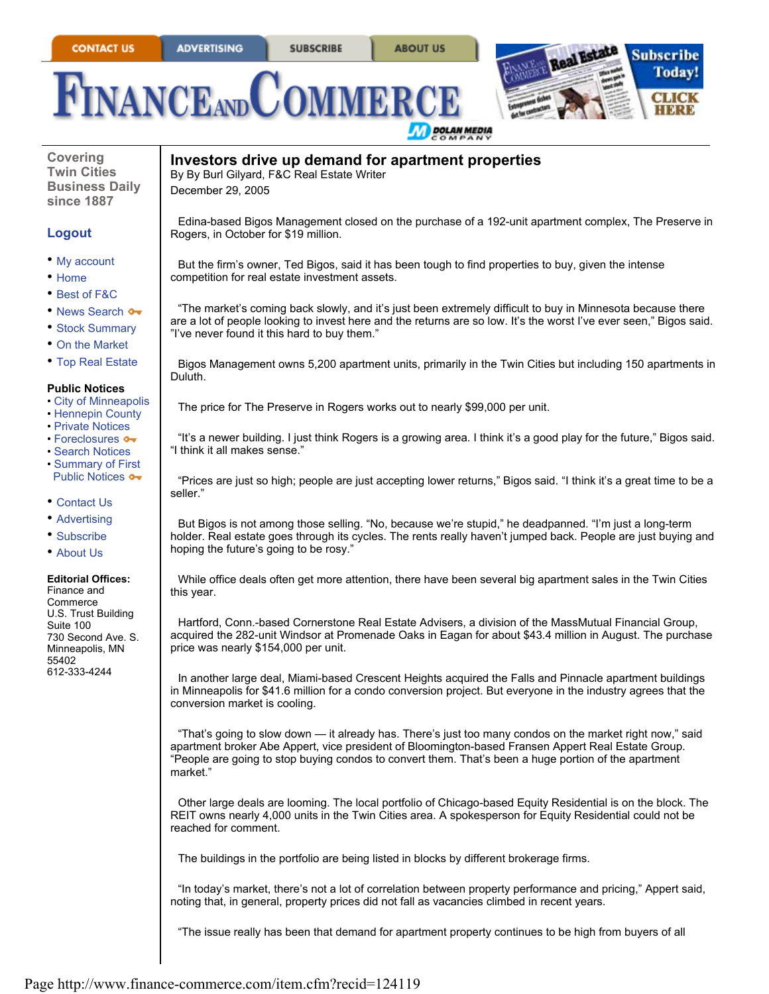**ABOUT US** 





**Covering Twin Cities Business Daily since 1887**

## **Logout**

- My account
- Home
- Best of F&C
- News Search •
- Stock Summary
- On the Market
- Top Real Estate

## **Public Notices**

- City of Minneapolis
- Hennepin County
- Private Notices
- Foreclosures •
- Search Notices • Summary of First
- Public Notices  $\bullet\bullet$
- Contact Us
- Advertising
- Subscribe
- About Us

## **Editorial Offices:**

Finance and Commerce U.S. Trust Building Suite 100 730 Second Ave. S. Minneapolis, MN 55402 612-333-4244

**Investors drive up demand for apartment properties** December 29, 2005 By By Burl Gilyard, F&C Real Estate Writer

Edina-based Bigos Management closed on the purchase of a 192-unit apartment complex, The Preserve in Rogers, in October for \$19 million.

But the firm's owner, Ted Bigos, said it has been tough to find properties to buy, given the intense competition for real estate investment assets.

"The market's coming back slowly, and it's just been extremely difficult to buy in Minnesota because there are a lot of people looking to invest here and the returns are so low. It's the worst I've ever seen," Bigos said. "I've never found it this hard to buy them."

Bigos Management owns 5,200 apartment units, primarily in the Twin Cities but including 150 apartments in Duluth.

The price for The Preserve in Rogers works out to nearly \$99,000 per unit.

"It's a newer building. I just think Rogers is a growing area. I think it's a good play for the future," Bigos said. "I think it all makes sense."

"Prices are just so high; people are just accepting lower returns," Bigos said. "I think it's a great time to be a seller."

But Bigos is not among those selling. "No, because we're stupid," he deadpanned. "I'm just a long-term holder. Real estate goes through its cycles. The rents really haven't jumped back. People are just buying and hoping the future's going to be rosy.'

While office deals often get more attention, there have been several big apartment sales in the Twin Cities this year.

Hartford, Conn.-based Cornerstone Real Estate Advisers, a division of the MassMutual Financial Group, acquired the 282-unit Windsor at Promenade Oaks in Eagan for about \$43.4 million in August. The purchase price was nearly \$154,000 per unit.

In another large deal, Miami-based Crescent Heights acquired the Falls and Pinnacle apartment buildings in Minneapolis for \$41.6 million for a condo conversion project. But everyone in the industry agrees that the conversion market is cooling.

"That's going to slow down — it already has. There's just too many condos on the market right now," said apartment broker Abe Appert, vice president of Bloomington-based Fransen Appert Real Estate Group. "People are going to stop buying condos to convert them. That's been a huge portion of the apartment market."

Other large deals are looming. The local portfolio of Chicago-based Equity Residential is on the block. The REIT owns nearly 4,000 units in the Twin Cities area. A spokesperson for Equity Residential could not be reached for comment.

The buildings in the portfolio are being listed in blocks by different brokerage firms.

"In today's market, there's not a lot of correlation between property performance and pricing," Appert said, noting that, in general, property prices did not fall as vacancies climbed in recent years.

"The issue really has been that demand for apartment property continues to be high from buyers of all